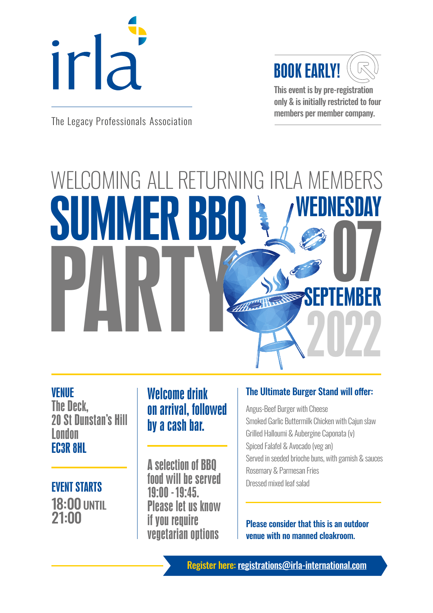



This event is by pre-registration only & is initially restricted to four

members per member company. The Legacy Professionals Association

# WELCOMING ALL RETURNING IRLA MEMBERS SUMMER BBQ PARTY 2022 WEDNESDAY  $\prod_{\text{TEMRED}}$ SEPTEMBER

## VENUE

The Deck, 20 St Dunstan's Hill London EC3R 8HL

 EVENT STARTS 18:00 UNTIL 21:00

## Welcome drink on arrival, followed by a cash bar.

A selection of BBQ food will be served 19:00 - 19:45. Please let us know if you require vegetarian options

## The Ultimate Burger Stand will offer:

Angus-Beef Burger with Cheese Smoked Garlic Buttermilk Chicken with Cajun slaw Grilled Halloumi & Aubergine Caponata (v) Spiced Falafel & Avocado (veg an) Served in seeded brioche buns, with garnish & sauces Rosemary & Parmesan Fries Dressed mixed leaf salad

Please consider that this is an outdoor venue with no manned cloakroom.

Register here: [registrations@irla-international.com](mailto:registrations%40irla-international.com?subject=)